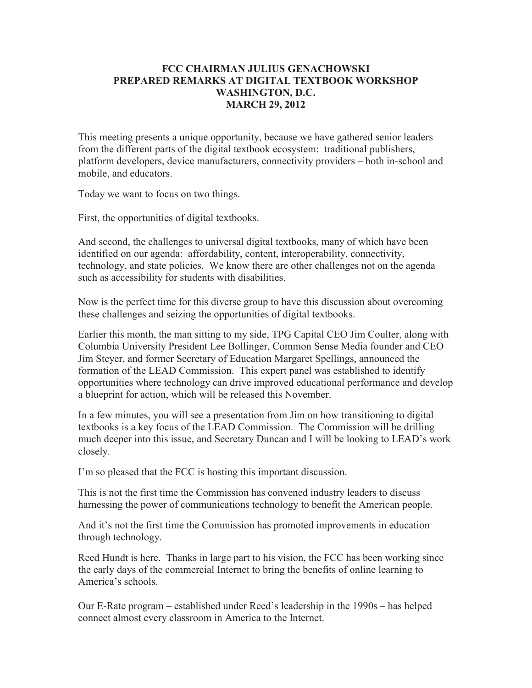## **FCC CHAIRMAN JULIUS GENACHOWSKI PREPARED REMARKS AT DIGITAL TEXTBOOK WORKSHOP WASHINGTON, D.C. MARCH 29, 2012**

This meeting presents a unique opportunity, because we have gathered senior leaders from the different parts of the digital textbook ecosystem: traditional publishers, platform developers, device manufacturers, connectivity providers – both in-school and mobile, and educators.

Today we want to focus on two things.

First, the opportunities of digital textbooks.

And second, the challenges to universal digital textbooks, many of which have been identified on our agenda: affordability, content, interoperability, connectivity, technology, and state policies. We know there are other challenges not on the agenda such as accessibility for students with disabilities.

Now is the perfect time for this diverse group to have this discussion about overcoming these challenges and seizing the opportunities of digital textbooks.

Earlier this month, the man sitting to my side, TPG Capital CEO Jim Coulter, along with Columbia University President Lee Bollinger, Common Sense Media founder and CEO Jim Steyer, and former Secretary of Education Margaret Spellings, announced the formation of the LEAD Commission. This expert panel was established to identify opportunities where technology can drive improved educational performance and develop a blueprint for action, which will be released this November.

In a few minutes, you will see a presentation from Jim on how transitioning to digital textbooks is a key focus of the LEAD Commission. The Commission will be drilling much deeper into this issue, and Secretary Duncan and I will be looking to LEAD's work closely.

I'm so pleased that the FCC is hosting this important discussion.

This is not the first time the Commission has convened industry leaders to discuss harnessing the power of communications technology to benefit the American people.

And it's not the first time the Commission has promoted improvements in education through technology.

Reed Hundt is here. Thanks in large part to his vision, the FCC has been working since the early days of the commercial Internet to bring the benefits of online learning to America's schools.

Our E-Rate program – established under Reed's leadership in the 1990s – has helped connect almost every classroom in America to the Internet.